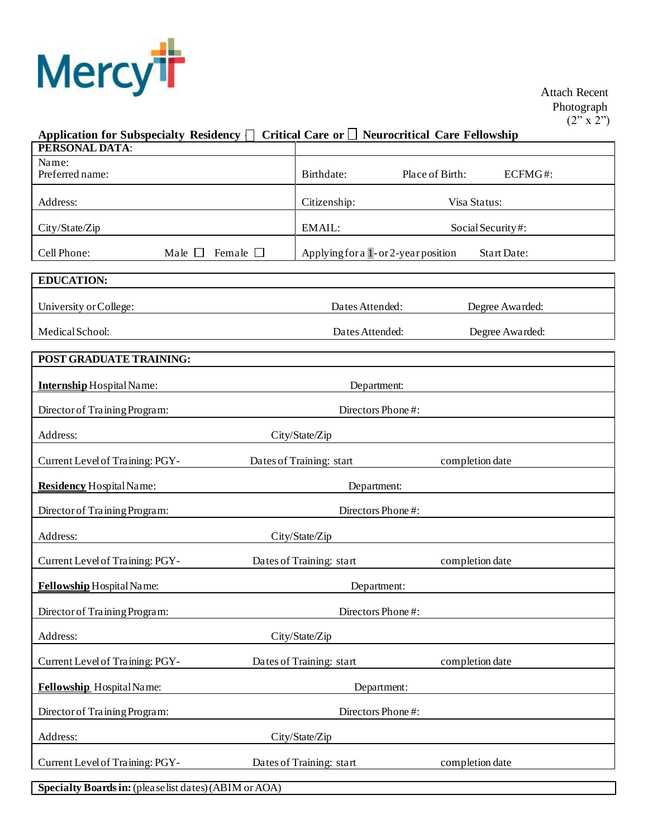

 Photograph  $(2"\times 2")$ 

## Application for Subspecialty Residency  $\Box$  Critical Care or  $\Box$  Neurocritical Care Fellowship

| PERSONAL DATA:                                         |                                     |                    |         |  |  |  |
|--------------------------------------------------------|-------------------------------------|--------------------|---------|--|--|--|
| Name:<br>Preferred name:                               | Birthdate:                          | Place of Birth:    | ECFMG#: |  |  |  |
| Address:                                               | Citizenship:                        | Visa Status:       |         |  |  |  |
| City/State/Zip                                         | EMAIL:                              | Social Security#:  |         |  |  |  |
| Cell Phone:<br>Male $\Box$<br>Female $\Box$            | Applying for a 1-or 2-year position | <b>Start Date:</b> |         |  |  |  |
| <b>EDUCATION:</b>                                      |                                     |                    |         |  |  |  |
| University or College:                                 | Dates Attended:                     | Degree Awarded:    |         |  |  |  |
| Medical School:                                        | Dates Attended:                     | Degree Awarded:    |         |  |  |  |
| POST GRADUATE TRAINING:                                |                                     |                    |         |  |  |  |
| <b>Internship Hospital Name:</b>                       | Department:                         |                    |         |  |  |  |
| Director of Training Program:                          | Directors Phone#:                   |                    |         |  |  |  |
| Address:<br>City/State/Zip                             |                                     |                    |         |  |  |  |
| Current Level of Training: PGY-                        | Dates of Training: start            | completion date    |         |  |  |  |
| Residency Hospital Name:                               | Department:                         |                    |         |  |  |  |
| Director of Training Program:                          | Directors Phone#:                   |                    |         |  |  |  |
| Address:                                               | City/State/Zip                      |                    |         |  |  |  |
| Current Level of Training: PGY-                        | Dates of Training: start            | completion date    |         |  |  |  |
| Fellowship Hospital Name:                              | Department:                         |                    |         |  |  |  |
| Director of Training Program:                          | Directors Phone#:                   |                    |         |  |  |  |
| Address:                                               | City/State/Zip                      |                    |         |  |  |  |
| Current Level of Training: PGY-                        | Dates of Training: start            | completion date    |         |  |  |  |
| Fellowship Hospital Name:                              | Department:                         |                    |         |  |  |  |
| Director of Training Program:                          | Directors Phone#:                   |                    |         |  |  |  |
| Address:                                               | City/State/Zip                      |                    |         |  |  |  |
| Current Level of Training: PGY-                        | Dates of Training: start            | completion date    |         |  |  |  |
| Specialty Boards in: (please list dates) (ABIM or AOA) |                                     |                    |         |  |  |  |